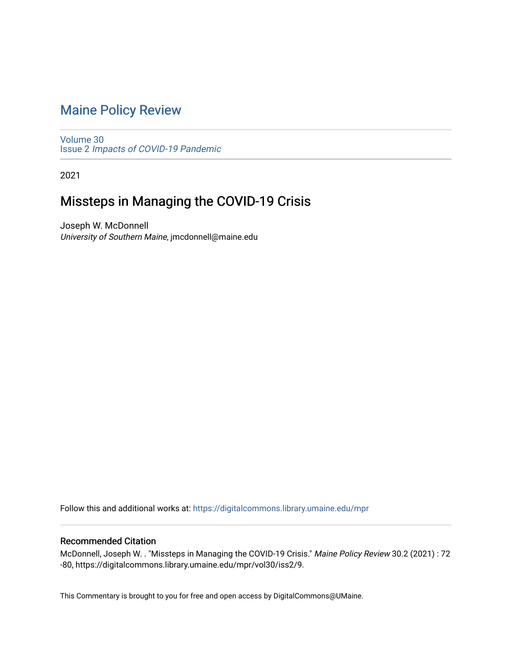# [Maine Policy Review](https://digitalcommons.library.umaine.edu/mpr)

[Volume 30](https://digitalcommons.library.umaine.edu/mpr/vol30) Issue 2 [Impacts of COVID-19 Pandemic](https://digitalcommons.library.umaine.edu/mpr/vol30/iss2)

2021

# Missteps in Managing the COVID-19 Crisis

Joseph W. McDonnell University of Southern Maine, jmcdonnell@maine.edu

Follow this and additional works at: [https://digitalcommons.library.umaine.edu/mpr](https://digitalcommons.library.umaine.edu/mpr?utm_source=digitalcommons.library.umaine.edu%2Fmpr%2Fvol30%2Fiss2%2F9&utm_medium=PDF&utm_campaign=PDFCoverPages)

### Recommended Citation

McDonnell, Joseph W. . "Missteps in Managing the COVID-19 Crisis." Maine Policy Review 30.2 (2021) : 72 -80, https://digitalcommons.library.umaine.edu/mpr/vol30/iss2/9.

This Commentary is brought to you for free and open access by DigitalCommons@UMaine.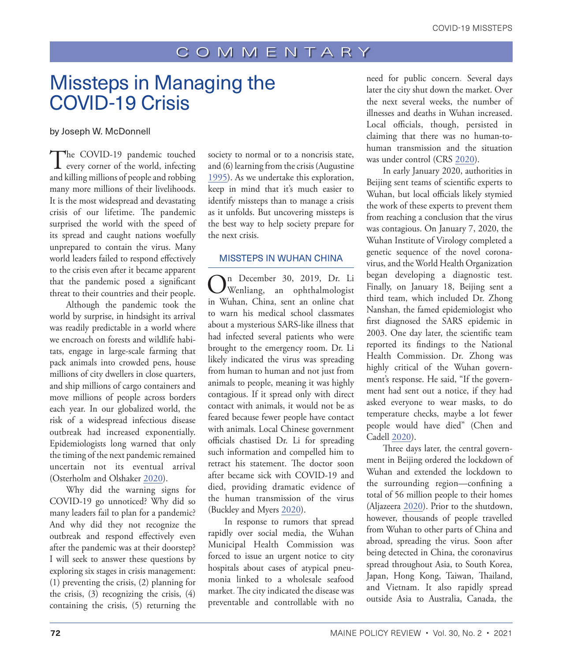# Missteps in Managing the COVID-19 Crisis

#### by Joseph W. McDonnell

The COVID-19 pandemic touched<br>
every corner of the world, infecting<br>
and the world, infecting and killing millions of people and robbing many more millions of their livelihoods. It is the most widespread and devastating crisis of our lifetime. The pandemic surprised the world with the speed of its spread and caught nations woefully unprepared to contain the virus. Many world leaders failed to respond effectively to the crisis even after it became apparent that the pandemic posed a significant threat to their countries and their people.

Although the pandemic took the world by surprise, in hindsight its arrival was readily predictable in a world where we encroach on forests and wildlife habitats, engage in large-scale farming that pack animals into crowded pens, house millions of city dwellers in close quarters, and ship millions of cargo containers and move millions of people across borders each year. In our globalized world, the risk of a widespread infectious disease outbreak had increased exponentially. Epidemiologists long warned that only the timing of the next pandemic remained uncertain not its eventual arrival (Osterholm and Olshaker [2020](#page-8-0)).

Why did the warning signs for COVID-19 go unnoticed? Why did so many leaders fail to plan for a pandemic? And why did they not recognize the outbreak and respond effectively even after the pandemic was at their doorstep? I will seek to answer these questions by exploring six stages in crisis management: (1) preventing the crisis, (2) planning for the crisis, (3) recognizing the crisis, (4) containing the crisis, (5) returning the

society to normal or to a noncrisis state, and (6) learning from the crisis (Augustine [1995\)](#page-8-1). As we undertake this exploration, keep in mind that it's much easier to identify missteps than to manage a crisis as it unfolds. But uncovering missteps is the best way to help society prepare for the next crisis.

#### MISSTEPS IN WUHAN CHINA

On December 30, 2019, Dr. Li Wenliang, an ophthalmologist in Wuhan, China, sent an online chat to warn his medical school classmates about a mysterious SARS-like illness that had infected several patients who were brought to the emergency room. Dr. Li likely indicated the virus was spreading from human to human and not just from animals to people, meaning it was highly contagious. If it spread only with direct contact with animals, it would not be as feared because fewer people have contact with animals. Local Chinese government officials chastised Dr. Li for spreading such information and compelled him to retract his statement. The doctor soon after became sick with COVID-19 and died, providing dramatic evidence of the human transmission of the virus (Buckley and Myers [2020](#page-8-2)).

In response to rumors that spread rapidly over social media, the Wuhan Municipal Health Commission was forced to issue an urgent notice to city hospitals about cases of atypical pneumonia linked to a wholesale seafood market. The city indicated the disease was preventable and controllable with no

need for public concern. Several days later the city shut down the market. Over the next several weeks, the number of illnesses and deaths in Wuhan increased. Local officials, though, persisted in claiming that there was no human-tohuman transmission and the situation was under control (CRS [2020\)](#page-8-3).

In early January 2020, authorities in Beijing sent teams of scientific experts to Wuhan, but local officials likely stymied the work of these experts to prevent them from reaching a conclusion that the virus was contagious. On January 7, 2020, the Wuhan Institute of Virology completed a genetic sequence of the novel coronavirus, and the World Health Organization began developing a diagnostic test. Finally, on January 18, Beijing sent a third team, which included Dr. Zhong Nanshan, the famed epidemiologist who first diagnosed the SARS epidemic in 2003. One day later, the scientific team reported its findings to the National Health Commission. Dr. Zhong was highly critical of the Wuhan government's response. He said, "If the government had sent out a notice, if they had asked everyone to wear masks, to do temperature checks, maybe a lot fewer people would have died" (Chen and Cadell [2020\)](#page-8-4).

Three days later, the central government in Beijing ordered the lockdown of Wuhan and extended the lockdown to the surrounding region—confining a total of 56 million people to their homes (Aljazeera [2020](#page-8-5)). Prior to the shutdown, however, thousands of people travelled from Wuhan to other parts of China and abroad, spreading the virus. Soon after being detected in China, the coronavirus spread throughout Asia, to South Korea, Japan, Hong Kong, Taiwan, Thailand, and Vietnam. It also rapidly spread outside Asia to Australia, Canada, the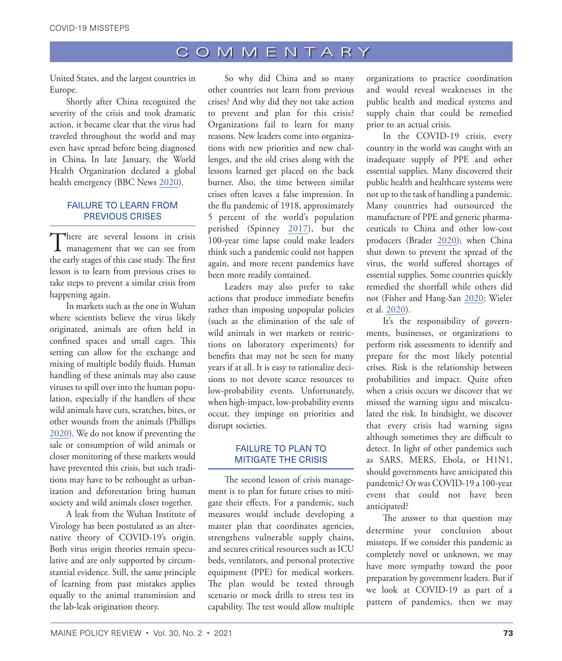United States, and the largest countries in Europe.

Shortly after China recognized the severity of the crisis and took dramatic action, it became clear that the virus had traveled throughout the world and may even have spread before being diagnosed in China**.** In late January, the World Health Organization declared a global health emergency (BBC News [2020](#page-8-6)).

### FAILURE TO LEARN FROM PREVIOUS CRISES

There are several lessons in crisis<br>
management that we can see from the early stages of this case study. The first lesson is to learn from previous crises to take steps to prevent a similar crisis from happening again.

In markets such as the one in Wuhan where scientists believe the virus likely originated, animals are often held in confined spaces and small cages. This setting can allow for the exchange and mixing of multiple bodily fluids. Human handling of these animals may also cause viruses to spill over into the human population, especially if the handlers of these wild animals have cuts, scratches, bites, or other wounds from the animals (Phillips [2020](#page-9-0)). We do not know if preventing the sale or consumption of wild animals or closer monitoring of these markets would have prevented this crisis, but such traditions may have to be rethought as urbanization and deforestation bring human society and wild animals closer together.

A leak from the Wuhan Institute of Virology has been postulated as an alternative theory of COVID-19's origin. Both virus origin theories remain speculative and are only supported by circumstantial evidence. Still, the same principle of learning from past mistakes applies equally to the animal transmission and the lab-leak origination theory.

So why did China and so many other countries not learn from previous crises? And why did they not take action to prevent and plan for this crisis? Organizations fail to learn for many reasons. New leaders come into organizations with new priorities and new challenges, and the old crises along with the lessons learned get placed on the back burner. Also, the time between similar crises often leaves a false impression. In the flu pandemic of 1918, approximately 5 percent of the world's population perished (Spinney [2017](#page-9-1)), but the 100-year time lapse could make leaders think such a pandemic could not happen again, and more recent pandemics have been more readily contained.

Leaders may also prefer to take actions that produce immediate benefits rather than imposing unpopular policies (such as the elimination of the sale of wild animals in wet markets or restrictions on laboratory experiments) for benefits that may not be seen for many years if at all. It is easy to rationalize decisions to not devote scarce resources to low-probability events. Unfortunately, when high-impact, low-probability events occur, they impinge on priorities and disrupt societies.

### FAILURE TO PLAN TO MITIGATE THE CRISIS

The second lesson of crisis management is to plan for future crises to mitigate their effects. For a pandemic, such measures would include developing a master plan that coordinates agencies, strengthens vulnerable supply chains, and secures critical resources such as ICU beds, ventilators, and personal protective equipment (PPE) for medical workers. The plan would be tested through scenario or mock drills to stress test its capability. The test would allow multiple organizations to practice coordination and would reveal weaknesses in the public health and medical systems and supply chain that could be remedied prior to an actual crisis.

In the COVID-19 crisis, every country in the world was caught with an inadequate supply of PPE and other essential supplies. Many discovered their public health and healthcare systems were not up to the task of handling a pandemic. Many countries had outsourced the manufacture of PPE and generic pharmaceuticals to China and other low-cost producers (Brader [2020](#page-8-7)); when China shut down to prevent the spread of the virus, the world suffered shortages of essential supplies. Some countries quickly remedied the shortfall while others did not (Fisher and Hang-San [2020;](#page-8-8) Wieler et al. [2020](#page-9-2)).

It's the responsibility of governments, businesses, or organizations to perform risk assessments to identify and prepare for the most likely potential crises. Risk is the relationship between probabilities and impact. Quite often when a crisis occurs we discover that we missed the warning signs and miscalculated the risk. In hindsight, we discover that every crisis had warning signs although sometimes they are difficult to detect. In light of other pandemics such as SARS, MERS, Ebola, or H1N1, should governments have anticipated this pandemic? Or was COVID-19 a 100-year event that could not have been anticipated?

The answer to that question may determine your conclusion about missteps. If we consider this pandemic as completely novel or unknown, we may have more sympathy toward the poor preparation by government leaders. But if we look at COVID-19 as part of a pattern of pandemics, then we may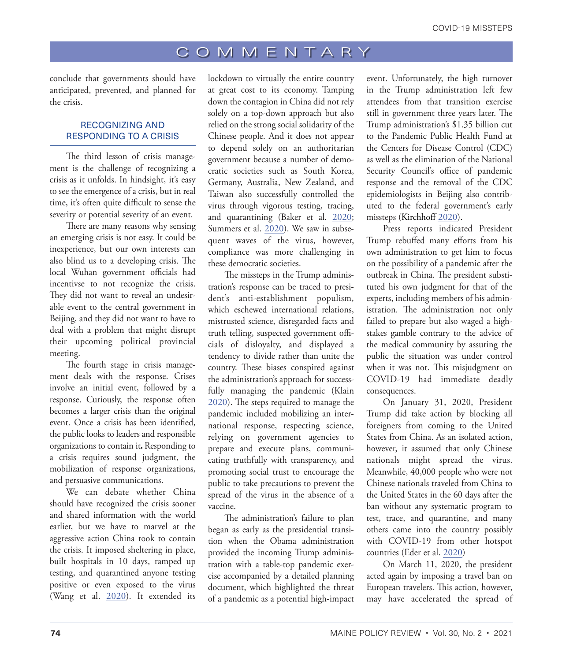conclude that governments should have anticipated, prevented, and planned for the crisis.

### RECOGNIZING AND RESPONDING TO A CRISIS

The third lesson of crisis management is the challenge of recognizing a crisis as it unfolds. In hindsight, it's easy to see the emergence of a crisis, but in real time, it's often quite difficult to sense the severity or potential severity of an event.

There are many reasons why sensing an emerging crisis is not easy. It could be inexperience, but our own interests can also blind us to a developing crisis. The local Wuhan government officials had incentivse to not recognize the crisis. They did not want to reveal an undesirable event to the central government in Beijing, and they did not want to have to deal with a problem that might disrupt their upcoming political provincial meeting.

The fourth stage in crisis management deals with the response. Crises involve an initial event, followed by a response. Curiously, the response often becomes a larger crisis than the original event. Once a crisis has been identified, the public looks to leaders and responsible organizations to contain it**.** Responding to a crisis requires sound judgment, the mobilization of response organizations, and persuasive communications.

We can debate whether China should have recognized the crisis sooner and shared information with the world earlier, but we have to marvel at the aggressive action China took to contain the crisis. It imposed sheltering in place, built hospitals in 10 days, ramped up testing, and quarantined anyone testing positive or even exposed to the virus (Wang et al. [2020](#page-9-3)). It extended its

lockdown to virtually the entire country at great cost to its economy. Tamping down the contagion in China did not rely solely on a top-down approach but also relied on the strong social solidarity of the Chinese people. And it does not appear to depend solely on an authoritarian government because a number of democratic societies such as South Korea, Germany, Australia, New Zealand, and Taiwan also successfully controlled the virus through vigorous testing, tracing, and quarantining (Baker et al. [2020](#page-8-9); Summers et al. [2020](#page-9-4)). We saw in subsequent waves of the virus, however, compliance was more challenging in these democratic societies.

The missteps in the Trump administration's response can be traced to president's anti-establishment populism, which eschewed international relations, mistrusted science, disregarded facts and truth telling, suspected government officials of disloyalty, and displayed a tendency to divide rather than unite the country. These biases conspired against the administration's approach for successfully managing the pandemic (Klain [2020\)](#page-8-10). The steps required to manage the pandemic included mobilizing an international response, respecting science, relying on government agencies to prepare and execute plans, communicating truthfully with transparency, and promoting social trust to encourage the public to take precautions to prevent the spread of the virus in the absence of a vaccine.

The administration's failure to plan began as early as the presidential transition when the Obama administration provided the incoming Trump administration with a table-top pandemic exercise accompanied by a detailed planning document, which highlighted the threat of a pandemic as a potential high-impact

event. Unfortunately, the high turnover in the Trump administration left few attendees from that transition exercise still in government three years later. The Trump administration's \$1.35 billion cut to the Pandemic Public Health Fund at the Centers for Disease Control (CDC) as well as the elimination of the National Security Council's office of pandemic response and the removal of the CDC epidemiologists in Beijing also contributed to the federal government's early missteps (Kirchhoff [2020](#page-8-11)).

Press reports indicated President Trump rebuffed many efforts from his own administration to get him to focus on the possibility of a pandemic after the outbreak in China. The president substituted his own judgment for that of the experts, including members of his administration. The administration not only failed to prepare but also waged a highstakes gamble contrary to the advice of the medical community by assuring the public the situation was under control when it was not. This misjudgment on COVID-19 had immediate deadly consequences.

On January 31, 2020, President Trump did take action by blocking all foreigners from coming to the United States from China. As an isolated action, however, it assumed that only Chinese nationals might spread the virus. Meanwhile, 40,000 people who were not Chinese nationals traveled from China to the United States in the 60 days after the ban without any systematic program to test, trace, and quarantine, and many others came into the country possibly with COVID-19 from other hotspot countries (Eder et al. [2020\)](#page-8-12)

On March 11, 2020, the president acted again by imposing a travel ban on European travelers. This action, however, may have accelerated the spread of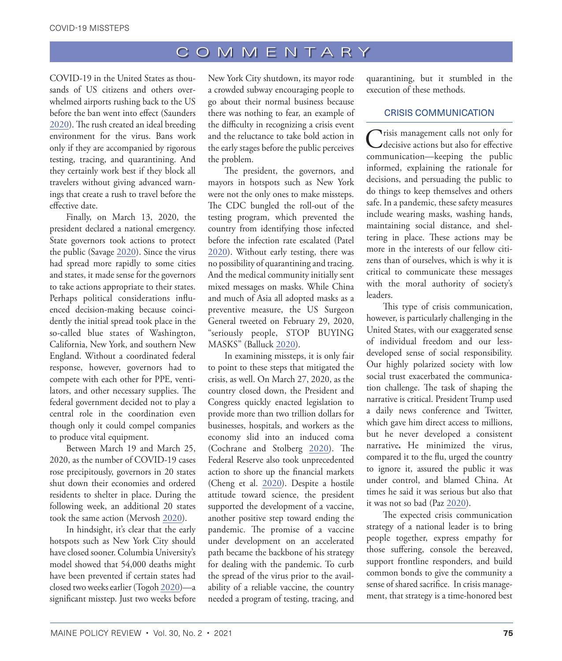COVID-19 in the United States as thousands of US citizens and others overwhelmed airports rushing back to the US before the ban went into effect (Saunders [2020](#page-9-5)). The rush created an ideal breeding environment for the virus. Bans work only if they are accompanied by rigorous testing, tracing, and quarantining. And they certainly work best if they block all travelers without giving advanced warnings that create a rush to travel before the effective date.

Finally, on March 13, 2020, the president declared a national emergency. State governors took actions to protect the public (Savage [2020](#page-9-6)). Since the virus had spread more rapidly to some cities and states, it made sense for the governors to take actions appropriate to their states. Perhaps political considerations influenced decision-making because coincidently the initial spread took place in the so-called blue states of Washington, California, New York, and southern New England. Without a coordinated federal response, however, governors had to compete with each other for PPE, ventilators, and other necessary supplies. The federal government decided not to play a central role in the coordination even though only it could compel companies to produce vital equipment.

Between March 19 and March 25, 2020, as the number of COVID-19 cases rose precipitously, governors in 20 states shut down their economies and ordered residents to shelter in place. During the following week, an additional 20 states took the same action (Mervosh [2020](#page-8-13)).

In hindsight, it's clear that the early hotspots such as New York City should have closed sooner. Columbia University's model showed that 54,000 deaths might have been prevented if certain states had closed two weeks earlier (Togoh [2020\)](#page-9-7)—a significant misstep. Just two weeks before

New York City shutdown, its mayor rode a crowded subway encouraging people to go about their normal business because there was nothing to fear, an example of the difficulty in recognizing a crisis event and the reluctance to take bold action in the early stages before the public perceives the problem.

The president, the governors, and mayors in hotspots such as New York were not the only ones to make missteps. The CDC bungled the roll-out of the testing program, which prevented the country from identifying those infected before the infection rate escalated (Patel [2020\)](#page-8-14). Without early testing, there was no possibility of quarantining and tracing. And the medical community initially sent mixed messages on masks. While China and much of Asia all adopted masks as a preventive measure, the US Surgeon General tweeted on February 29, 2020, "seriously people, STOP BUYING MASKS" (Balluck [2020](#page-8-15)).

In examining missteps, it is only fair to point to these steps that mitigated the crisis, as well. On March 27, 2020, as the country closed down, the President and Congress quickly enacted legislation to provide more than two trillion dollars for businesses, hospitals, and workers as the economy slid into an induced coma (Cochrane and Stolberg [2020\)](#page-8-16). The Federal Reserve also took unprecedented action to shore up the financial markets (Cheng et al. [2020\)](#page-8-17). Despite a hostile attitude toward science, the president supported the development of a vaccine, another positive step toward ending the pandemic. The promise of a vaccine under development on an accelerated path became the backbone of his strategy for dealing with the pandemic. To curb the spread of the virus prior to the availability of a reliable vaccine, the country needed a program of testing, tracing, and

quarantining, but it stumbled in the execution of these methods.

### CRISIS COMMUNICATION

Crisis management calls not only for decisive actions but also for effective communication—keeping the public informed, explaining the rationale for decisions, and persuading the public to do things to keep themselves and others safe. In a pandemic, these safety measures include wearing masks, washing hands, maintaining social distance, and sheltering in place. These actions may be more in the interests of our fellow citizens than of ourselves, which is why it is critical to communicate these messages with the moral authority of society's leaders.

This type of crisis communication, however, is particularly challenging in the United States, with our exaggerated sense of individual freedom and our lessdeveloped sense of social responsibility. Our highly polarized society with low social trust exacerbated the communication challenge. The task of shaping the narrative is critical. President Trump used a daily news conference and Twitter, which gave him direct access to millions, but he never developed a consistent narrative**.** He minimized the virus, compared it to the flu, urged the country to ignore it, assured the public it was under control, and blamed China. At times he said it was serious but also that it was not so bad (Paz [2020](#page-9-8)).

The expected crisis communication strategy of a national leader is to bring people together, express empathy for those suffering, console the bereaved, support frontline responders, and build common bonds to give the community a sense of shared sacrifice. In crisis management, that strategy is a time-honored best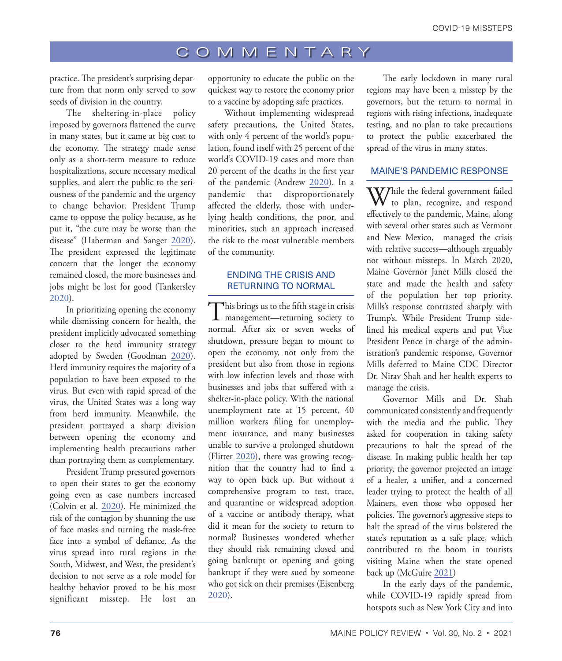practice. The president's surprising departure from that norm only served to sow seeds of division in the country.

The sheltering-in-place policy imposed by governors flattened the curve in many states, but it came at big cost to the economy. The strategy made sense only as a short-term measure to reduce hospitalizations, secure necessary medical supplies, and alert the public to the seriousness of the pandemic and the urgency to change behavior. President Trump came to oppose the policy because, as he put it, "the cure may be worse than the disease" (Haberman and Sanger [2020](#page-8-18)). The president expressed the legitimate concern that the longer the economy remained closed, the more businesses and jobs might be lost for good (Tankersley [2020](#page-9-9)).

In prioritizing opening the economy while dismissing concern for health, the president implicitly advocated something closer to the herd immunity strategy adopted by Sweden (Goodman [2020](#page-8-19)). Herd immunity requires the majority of a population to have been exposed to the virus. But even with rapid spread of the virus, the United States was a long way from herd immunity. Meanwhile, the president portrayed a sharp division between opening the economy and implementing health precautions rather than portraying them as complementary.

President Trump pressured governors to open their states to get the economy going even as case numbers increased (Colvin et al. [2020](#page-8-20)). He minimized the risk of the contagion by shunning the use of face masks and turning the mask-free face into a symbol of defiance. As the virus spread into rural regions in the South, Midwest, and West, the president's decision to not serve as a role model for healthy behavior proved to be his most significant misstep. He lost an

opportunity to educate the public on the quickest way to restore the economy prior to a vaccine by adopting safe practices.

Without implementing widespread safety precautions, the United States, with only 4 percent of the world's population, found itself with 25 percent of the world's COVID-19 cases and more than 20 percent of the deaths in the first year of the pandemic (Andrew [2020](#page-8-21)). In a pandemic that disproportionately affected the elderly, those with underlying health conditions, the poor, and minorities, such an approach increased the risk to the most vulnerable members of the community.

#### ENDING THE CRISIS AND RETURNING TO NORMAL

This brings us to the fifth stage in crisis management—returning society to normal. After six or seven weeks of shutdown, pressure began to mount to open the economy, not only from the president but also from those in regions with low infection levels and those with businesses and jobs that suffered with a shelter-in-place policy. With the national unemployment rate at 15 percent, 40 million workers filing for unemployment insurance, and many businesses unable to survive a prolonged shutdown (Flitter [2020\)](#page-8-22), there was growing recognition that the country had to find a way to open back up. But without a comprehensive program to test, trace, and quarantine or widespread adoption of a vaccine or antibody therapy, what did it mean for the society to return to normal? Businesses wondered whether they should risk remaining closed and going bankrupt or opening and going bankrupt if they were sued by someone who got sick on their premises (Eisenberg [2020\)](#page-8-23).

The early lockdown in many rural regions may have been a misstep by the governors, but the return to normal in regions with rising infections, inadequate testing, and no plan to take precautions to protect the public exacerbated the spread of the virus in many states.

### MAINE'S PANDEMIC RESPONSE

While the federal government failed<br>to plan, recognize, and respond effectively to the pandemic, Maine, along with several other states such as Vermont and New Mexico, managed the crisis with relative success—although arguably not without missteps. In March 2020, Maine Governor Janet Mills closed the state and made the health and safety of the population her top priority. Mills's response contrasted sharply with Trump's. While President Trump sidelined his medical experts and put Vice President Pence in charge of the administration's pandemic response, Governor Mills deferred to Maine CDC Director Dr. Nirav Shah and her health experts to manage the crisis.

Governor Mills and Dr. Shah communicated consistently and frequently with the media and the public. They asked for cooperation in taking safety precautions to halt the spread of the disease. In making public health her top priority, the governor projected an image of a healer, a unifier, and a concerned leader trying to protect the health of all Mainers, even those who opposed her policies. The governor's aggressive steps to halt the spread of the virus bolstered the state's reputation as a safe place, which contributed to the boom in tourists visiting Maine when the state opened back up (McGuire [2021](#page-8-24))

In the early days of the pandemic, while COVID-19 rapidly spread from hotspots such as New York City and into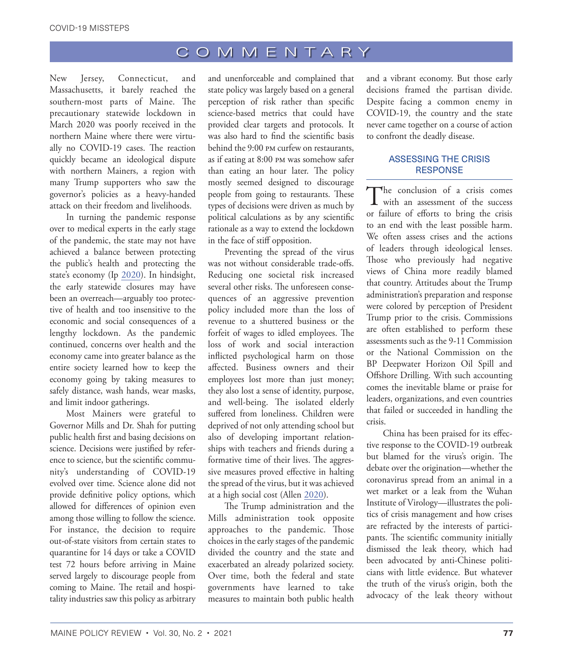New Jersey, Connecticut, and Massachusetts, it barely reached the southern-most parts of Maine. The precautionary statewide lockdown in March 2020 was poorly received in the northern Maine where there were virtually no COVID-19 cases. The reaction quickly became an ideological dispute with northern Mainers, a region with many Trump supporters who saw the governor's policies as a heavy-handed attack on their freedom and livelihoods.

In turning the pandemic response over to medical experts in the early stage of the pandemic, the state may not have achieved a balance between protecting the public's health and protecting the state's economy (Ip [2020](#page-8-25)). In hindsight, the early statewide closures may have been an overreach—arguably too protective of health and too insensitive to the economic and social consequences of a lengthy lockdown. As the pandemic continued, concerns over health and the economy came into greater balance as the entire society learned how to keep the economy going by taking measures to safely distance, wash hands, wear masks, and limit indoor gatherings.

Most Mainers were grateful to Governor Mills and Dr. Shah for putting public health first and basing decisions on science. Decisions were justified by reference to science, but the scientific community's understanding of COVID-19 evolved over time. Science alone did not provide definitive policy options, which allowed for differences of opinion even among those willing to follow the science. For instance, the decision to require out-of-state visitors from certain states to quarantine for 14 days or take a COVID test 72 hours before arriving in Maine served largely to discourage people from coming to Maine. The retail and hospitality industries saw this policy as arbitrary

and unenforceable and complained that state policy was largely based on a general perception of risk rather than specific science-based metrics that could have provided clear targets and protocols. It was also hard to find the scientific basis behind the 9:00 pm curfew on restaurants, as if eating at 8:00 pm was somehow safer than eating an hour later. The policy mostly seemed designed to discourage people from going to restaurants. These types of decisions were driven as much by political calculations as by any scientific rationale as a way to extend the lockdown in the face of stiff opposition.

Preventing the spread of the virus was not without considerable trade-offs. Reducing one societal risk increased several other risks. The unforeseen consequences of an aggressive prevention policy included more than the loss of revenue to a shuttered business or the forfeit of wages to idled employees. The loss of work and social interaction inflicted psychological harm on those affected. Business owners and their employees lost more than just money; they also lost a sense of identity, purpose, and well-being. The isolated elderly suffered from loneliness. Children were deprived of not only attending school but also of developing important relationships with teachers and friends during a formative time of their lives. The aggressive measures proved effective in halting the spread of the virus, but it was achieved at a high social cost (Allen [2020](#page-8-26)).

The Trump administration and the Mills administration took opposite approaches to the pandemic. Those choices in the early stages of the pandemic divided the country and the state and exacerbated an already polarized society. Over time, both the federal and state governments have learned to take measures to maintain both public health

and a vibrant economy. But those early decisions framed the partisan divide. Despite facing a common enemy in COVID-19, the country and the state never came together on a course of action to confront the deadly disease.

### ASSESSING THE CRISIS **RESPONSE**

The conclusion of a crisis comes<br>with an assessment of the success or failure of efforts to bring the crisis to an end with the least possible harm. We often assess crises and the actions of leaders through ideological lenses. Those who previously had negative views of China more readily blamed that country. Attitudes about the Trump administration's preparation and response were colored by perception of President Trump prior to the crisis. Commissions are often established to perform these assessments such as the 9-11 Commission or the National Commission on the BP Deepwater Horizon Oil Spill and Offshore Drilling. With such accounting comes the inevitable blame or praise for leaders, organizations, and even countries that failed or succeeded in handling the crisis.

China has been praised for its effective response to the COVID-19 outbreak but blamed for the virus's origin. The debate over the origination—whether the coronavirus spread from an animal in a wet market or a leak from the Wuhan Institute of Virology—illustrates the politics of crisis management and how crises are refracted by the interests of participants. The scientific community initially dismissed the leak theory, which had been advocated by anti-Chinese politicians with little evidence. But whatever the truth of the virus's origin, both the advocacy of the leak theory without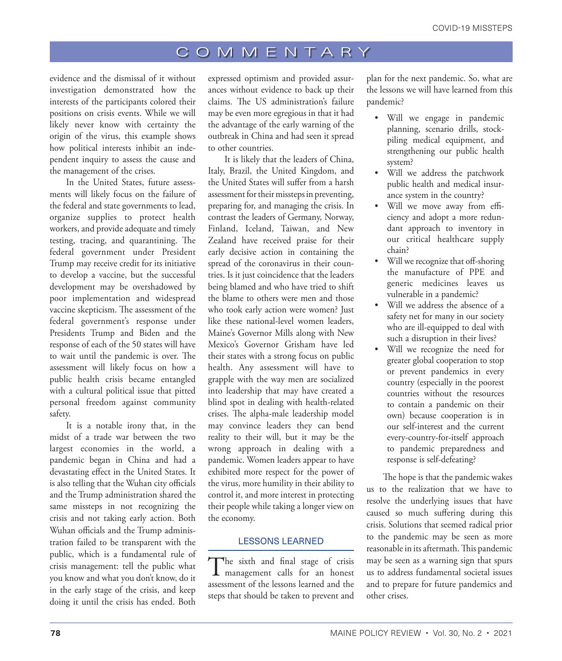evidence and the dismissal of it without investigation demonstrated how the interests of the participants colored their positions on crisis events. While we will likely never know with certainty the origin of the virus, this example shows how political interests inhibit an independent inquiry to assess the cause and the management of the crises.

In the United States, future assessments will likely focus on the failure of the federal and state governments to lead, organize supplies to protect health workers, and provide adequate and timely testing, tracing, and quarantining. The federal government under President Trump may receive credit for its initiative to develop a vaccine, but the successful development may be overshadowed by poor implementation and widespread vaccine skepticism. The assessment of the federal government's response under Presidents Trump and Biden and the response of each of the 50 states will have to wait until the pandemic is over. The assessment will likely focus on how a public health crisis became entangled with a cultural political issue that pitted personal freedom against community safety.

It is a notable irony that, in the midst of a trade war between the two largest economies in the world, a pandemic began in China and had a devastating effect in the United States. It is also telling that the Wuhan city officials and the Trump administration shared the same missteps in not recognizing the crisis and not taking early action. Both Wuhan officials and the Trump administration failed to be transparent with the public, which is a fundamental rule of crisis management: tell the public what you know and what you don't know, do it in the early stage of the crisis, and keep doing it until the crisis has ended. Both

expressed optimism and provided assurances without evidence to back up their claims. The US administration's failure may be even more egregious in that it had the advantage of the early warning of the outbreak in China and had seen it spread to other countries.

It is likely that the leaders of China, Italy, Brazil, the United Kingdom, and the United States will suffer from a harsh assessment for their missteps in preventing, preparing for, and managing the crisis. In contrast the leaders of Germany, Norway, Finland, Iceland, Taiwan, and New Zealand have received praise for their early decisive action in containing the spread of the coronavirus in their countries. Is it just coincidence that the leaders being blamed and who have tried to shift the blame to others were men and those who took early action were women? Just like these national-level women leaders, Maine's Governor Mills along with New Mexico's Governor Grisham have led their states with a strong focus on public health. Any assessment will have to grapple with the way men are socialized into leadership that may have created a blind spot in dealing with health-related crises. The alpha-male leadership model may convince leaders they can bend reality to their will, but it may be the wrong approach in dealing with a pandemic. Women leaders appear to have exhibited more respect for the power of the virus, more humility in their ability to control it, and more interest in protecting their people while taking a longer view on the economy.

#### LESSONS LEARNED

The sixth and final stage of crisis management calls for an honest assessment of the lessons learned and the steps that should be taken to prevent and

plan for the next pandemic. So, what are the lessons we will have learned from this pandemic?

- Will we engage in pandemic planning, scenario drills, stockpiling medical equipment, and strengthening our public health system?
- Will we address the patchwork public health and medical insurance system in the country?
- Will we move away from efficiency and adopt a more redundant approach to inventory in our critical healthcare supply chain?
- Will we recognize that off-shoring the manufacture of PPE and generic medicines leaves us vulnerable in a pandemic?
- Will we address the absence of a safety net for many in our society who are ill-equipped to deal with such a disruption in their lives?
- Will we recognize the need for greater global cooperation to stop or prevent pandemics in every country (especially in the poorest countries without the resources to contain a pandemic on their own) because cooperation is in our self-interest and the current every-country-for-itself approach to pandemic preparedness and response is self-defeating?

The hope is that the pandemic wakes us to the realization that we have to resolve the underlying issues that have caused so much suffering during this crisis. Solutions that seemed radical prior to the pandemic may be seen as more reasonable in its aftermath. This pandemic may be seen as a warning sign that spurs us to address fundamental societal issues and to prepare for future pandemics and other crises.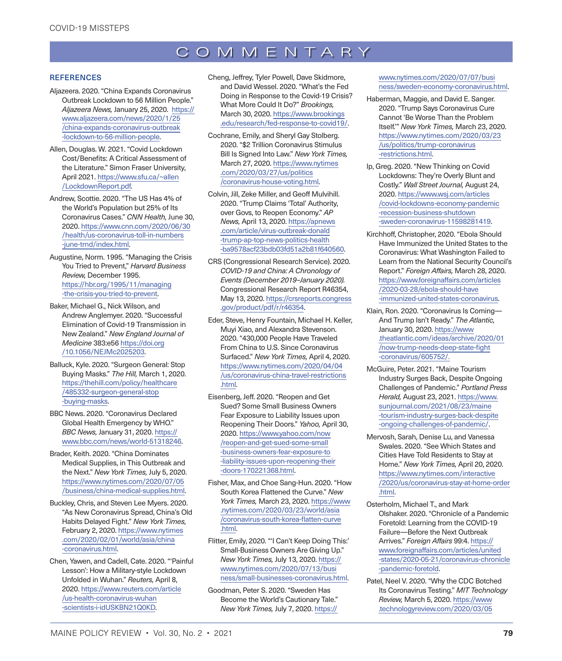#### **REFERENCES**

- <span id="page-8-5"></span>Aljazeera. 2020. "China Expands Coronavirus Outbreak Lockdown to 56 Million People." *Aljazeera News,* January 25, 2020. [https://](https://www.aljazeera.com/news/2020/1/25/china-expands-coronavirus-outbreak-lockdown-to-56-million-people) [www.aljazeera.com/news/2020/1/25](https://www.aljazeera.com/news/2020/1/25/china-expands-coronavirus-outbreak-lockdown-to-56-million-people) [/china-expands-coronavirus-outbreak](https://www.aljazeera.com/news/2020/1/25/china-expands-coronavirus-outbreak-lockdown-to-56-million-people) [-lockdown-to-56-million-people.](https://www.aljazeera.com/news/2020/1/25/china-expands-coronavirus-outbreak-lockdown-to-56-million-people)
- <span id="page-8-26"></span>Allen, Douglas. W. 2021. "Covid Lockdown Cost/Benefits: A Critical Assessment of the Literature." Simon Fraser University, April 2021. [https://www.sfu.ca/~allen](https://www.sfu.ca/~allen/LockdownReport.pdf) [/LockdownReport.pdf](https://www.sfu.ca/~allen/LockdownReport.pdf).
- <span id="page-8-21"></span>Andrew, Scottie. 2020. "The US Has 4% of the World's Population but 25% of Its Coronavirus Cases." *CNN Health,* June 30, 2020. [https://www.cnn.com/2020/06/30](https://www.cnn.com/2020/06/30/health/us-coronavirus-toll-in-numbers-june-trnd/index.html) [/health/us-coronavirus-toll-in-numbers](https://www.cnn.com/2020/06/30/health/us-coronavirus-toll-in-numbers-june-trnd/index.html) [-june-trnd/index.html](https://www.cnn.com/2020/06/30/health/us-coronavirus-toll-in-numbers-june-trnd/index.html).
- <span id="page-8-1"></span>Augustine, Norm. 1995. "Managing the Crisis You Tried to Prevent," *Harvard Business Review,* December 1995. [https://hbr.org/1995/11/managing](https://hbr.org/1995/11/managing-the-crisis-you-tried-to-prevent) [-the-crisis-you-tried-to-prevent](https://hbr.org/1995/11/managing-the-crisis-you-tried-to-prevent).
- <span id="page-8-9"></span>Baker, Michael G., Nick Wilson, and Andrew Anglemyer. 2020. "Successful Elimination of Covid-19 Transmission in New Zealand." *New England Journal of Medicine* 383:e56 [https://doi.org](https://doi.org/10.1056/NEJMc2025203) [/10.1056/NEJMc2025203](https://doi.org/10.1056/NEJMc2025203).
- <span id="page-8-15"></span>Balluck, Kyle. 2020. "Surgeon General: Stop Buying Masks." *The Hill,* March 1, 2020. [https://thehill.com/policy/healthcare](https://thehill.com/policy/healthcare/485332-surgeon-general-stop-buying-masks) [/485332-surgeon-general-stop](https://thehill.com/policy/healthcare/485332-surgeon-general-stop-buying-masks) [-buying-masks](https://thehill.com/policy/healthcare/485332-surgeon-general-stop-buying-masks).
- <span id="page-8-6"></span>BBC News. 2020. "Coronavirus Declared Global Health Emergency by WHO." *BBC News,* January 31, 2020. [https://](https://www.bbc.com/news/world-51318246) [www.bbc.com/news/world-51318246](https://www.bbc.com/news/world-51318246).
- <span id="page-8-7"></span>Brader, Keith. 2020. "China Dominates Medical Supplies, in This Outbreak and the Next." *New York Times,* July 5, 2020. [https://www.nytimes.com/2020/07/05](https://www.nytimes.com/2020/07/05/business/china-medical-supplies.html) [/business/china-medical-supplies.html](https://www.nytimes.com/2020/07/05/business/china-medical-supplies.html).
- <span id="page-8-2"></span>Buckley, Chris, and Steven Lee Myers. 2020. "As New Coronavirus Spread, China's Old Habits Delayed Fight." *New York Times,*  February 2, 2020. [https://www.nytimes](https://www.nytimes.com/2020/02/01/world/asia/china-coronavirus.html) [.com/2020/02/01/world/asia/china](https://www.nytimes.com/2020/02/01/world/asia/china-coronavirus.html) [-coronavirus.html](https://www.nytimes.com/2020/02/01/world/asia/china-coronavirus.html).
- <span id="page-8-4"></span>Chen, Yawen, and Cadell, Cate. 2020. "'Painful Lesson': How a Military-style Lockdown Unfolded in Wuhan." *Reuters,* April 8, 2020. [https://www.reuters.com/article](https://www.reuters.com/article/us-health-coronavirus-wuhan-scientists-i-idUSKBN21Q0KD) [/us-health-coronavirus-wuhan](https://www.reuters.com/article/us-health-coronavirus-wuhan-scientists-i-idUSKBN21Q0KD) [-scientists-i-idUSKBN21Q0KD](https://www.reuters.com/article/us-health-coronavirus-wuhan-scientists-i-idUSKBN21Q0KD).
- <span id="page-8-17"></span>Cheng, Jeffrey, Tyler Powell, Dave Skidmore, and David Wessel. 2020. "What's the Fed Doing in Response to the Covid-19 Crisis? What More Could It Do?" *Brookings,*  March 30, 2020. [https://www.brookings](https://www.brookings.edu/research/fed-response-to-covid19/) [.edu/research/fed-response-to-covid19/.](https://www.brookings.edu/research/fed-response-to-covid19/)
- <span id="page-8-16"></span>[Cochrane](https://www.nytimes.com/by/emily-cochrane), Emily, and Sheryl Gay [Stolberg.](https://www.nytimes.com/by/sheryl-gay-stolberg) 2020. "\$2 Trillion Coronavirus Stimulus Bill Is Signed Into Law." *New York Times,*  March 27, 2020. [https://www.nytimes](https://www.nytimes.com/2020/03/27/us/politics/coronavirus-house-voting.html) [.com/2020/03/27/us/politics](https://www.nytimes.com/2020/03/27/us/politics/coronavirus-house-voting.html) [/coronavirus-house-voting.html.](https://www.nytimes.com/2020/03/27/us/politics/coronavirus-house-voting.html)
- <span id="page-8-20"></span>Colvin, Jill, Zeke Miller, and Geoff Mulvihill. 2020. "Trump Claims 'Total' Authority, over Govs, to Reopen Economy." *AP News,* April 13, 2020. [https://apnews](https://apnews.com/article/virus-outbreak-donald-trump-ap-top-news-politics-health-ba9578acf23bdb03fd51a2b81f640560) [.com/article/virus-outbreak-donald](https://apnews.com/article/virus-outbreak-donald-trump-ap-top-news-politics-health-ba9578acf23bdb03fd51a2b81f640560) [-trump-ap-top-news-politics-health](https://apnews.com/article/virus-outbreak-donald-trump-ap-top-news-politics-health-ba9578acf23bdb03fd51a2b81f640560) [-ba9578acf23bdb03fd51a2b81f640560](https://apnews.com/article/virus-outbreak-donald-trump-ap-top-news-politics-health-ba9578acf23bdb03fd51a2b81f640560).
- <span id="page-8-3"></span>CRS (Congressional Research Service). 2020. *COVID-19 and China: A Chronology of Events (December 2019–January 2020).* Congressional Research Report R46354, May 13, 2020. [https://crsreports.congress](https://crsreports.congress.gov/product/pdf/r/r46354) [.gov/product/pdf/r/r46354.](https://crsreports.congress.gov/product/pdf/r/r46354)
- <span id="page-8-12"></span>[Eder](https://www.nytimes.com/by/steve-eder), Steve, Henr[y Fountain,](https://www.nytimes.com/by/henry-fountain) [Michael H.](https://www.nytimes.com/by/michael-h-keller) [Keller](https://www.nytimes.com/by/michael-h-keller), Muyi [Xiao](https://www.nytimes.com/by/muyi-xiao), and Alexandra [Stevenson.](https://www.nytimes.com/by/alexandra-stevenson) 2020. "430,000 People Have Traveled From China to U.S. Since Coronavirus Surfaced." *New York Times,* April 4, 2020. [https://www.nytimes.com/2020/04/04](https://www.nytimes.com/2020/04/04/us/coronavirus-china-travel-restrictions.html) [/us/coronavirus-china-travel-restrictions](https://www.nytimes.com/2020/04/04/us/coronavirus-china-travel-restrictions.html) [.html.](https://www.nytimes.com/2020/04/04/us/coronavirus-china-travel-restrictions.html)
- <span id="page-8-23"></span>Eisenberg, Jeff. 2020. "Reopen and Get Sued? Some Small Business Owners Fear Exposure to Liability Issues upon Reopening Their Doors." *Yahoo,* April 30, 2020. [https://www.yahoo.com/now](https://www.yahoo.com/now/reopen-and-get-sued-some-small-business-owners-fear-exposure-to-liability-issues-upon-reopening-their-doors-170221368.html) [/reopen-and-get-sued-some-small](https://www.yahoo.com/now/reopen-and-get-sued-some-small-business-owners-fear-exposure-to-liability-issues-upon-reopening-their-doors-170221368.html) [-business-owners-fear-exposure-to](https://www.yahoo.com/now/reopen-and-get-sued-some-small-business-owners-fear-exposure-to-liability-issues-upon-reopening-their-doors-170221368.html) [-liability-issues-upon-reopening-their](https://www.yahoo.com/now/reopen-and-get-sued-some-small-business-owners-fear-exposure-to-liability-issues-upon-reopening-their-doors-170221368.html) [-doors-170221368.html](https://www.yahoo.com/now/reopen-and-get-sued-some-small-business-owners-fear-exposure-to-liability-issues-upon-reopening-their-doors-170221368.html).
- <span id="page-8-8"></span>[Fisher](https://www.nytimes.com/by/max-fisher), Max, and [Choe Sang-Hun](https://www.nytimes.com/by/choe-sang-hun). 2020. "How South Korea Flattened the Curve." *New York Times,* March 23, 2020. [https://www](https://www.nytimes.com/2020/03/23/world/asia/coronavirus-south-korea-flatten-curve.html) [.nytimes.com/2020/03/23/world/asia](https://www.nytimes.com/2020/03/23/world/asia/coronavirus-south-korea-flatten-curve.html) [/coronavirus-south-korea-flatten-curve](https://www.nytimes.com/2020/03/23/world/asia/coronavirus-south-korea-flatten-curve.html) [.html.](https://www.nytimes.com/2020/03/23/world/asia/coronavirus-south-korea-flatten-curve.html)
- <span id="page-8-22"></span>Flitter, Emily, 2020. "'I Can't Keep Doing This:' Small-Business Owners Are Giving Up." *New York Times,* July 13, 2020. [https://](https://www.nytimes.com/2020/07/13/business/small-businesses-coronavirus.html) [www.nytimes.com/2020/07/13/busi](https://www.nytimes.com/2020/07/13/business/small-businesses-coronavirus.html) [ness/small-businesses-coronavirus.html](https://www.nytimes.com/2020/07/13/business/small-businesses-coronavirus.html).
- <span id="page-8-19"></span>Goodman, Peter S. 2020. "Sweden Has Become the World's Cautionary Tale." *New York Times,* July 7, 2020. [https://](https://www.nytimes.com/2020/07/07/business/sweden-economy-coronavirus.html)

[www.nytimes.com/2020/07/07/busi](https://www.nytimes.com/2020/07/07/business/sweden-economy-coronavirus.html) [ness/sweden-economy-coronavirus.html.](https://www.nytimes.com/2020/07/07/business/sweden-economy-coronavirus.html)

- <span id="page-8-18"></span>[Haberman,](https://www.nytimes.com/by/maggie-haberman) Maggie, and David E. [Sanger](https://www.nytimes.com/by/david-e-sanger). 2020. "Trump Says Coronavirus Cure Cannot 'Be Worse Than the Problem Itself.'" *New York Times,* March 23, 2020. [https://www.nytimes.com/2020/03/23](https://www.nytimes.com/2020/03/23/us/politics/trump-coronavirus-restrictions.html) [/us/politics/trump-coronavirus](https://www.nytimes.com/2020/03/23/us/politics/trump-coronavirus-restrictions.html) [-restrictions.html](https://www.nytimes.com/2020/03/23/us/politics/trump-coronavirus-restrictions.html).
- <span id="page-8-25"></span>Ip, Greg. 2020. "New Thinking on Covid Lockdowns: They're Overly Blunt and Costly." *Wall Street Journal,* August 24, 2020. [https://www.wsj.com/articles](https://www.wsj.com/articles/covid-lockdowns-economy-pandemic-recession-business-shutdown-sweden-coronavirus-11598281419) [/covid-lockdowns-economy-pandemic](https://www.wsj.com/articles/covid-lockdowns-economy-pandemic-recession-business-shutdown-sweden-coronavirus-11598281419) [-recession-business-shutdown](https://www.wsj.com/articles/covid-lockdowns-economy-pandemic-recession-business-shutdown-sweden-coronavirus-11598281419) [-sweden-coronavirus-11598281419](https://www.wsj.com/articles/covid-lockdowns-economy-pandemic-recession-business-shutdown-sweden-coronavirus-11598281419).
- <span id="page-8-11"></span>Kirchhoff, Christopher, 2020. "Ebola Should Have Immunized the United States to the Coronavirus: What Washington Failed to Learn from the National Security Council's Report." *Foreign Affairs,* March 28, 2020. [https://www.foreignaffairs.com/articles](https://www.foreignaffairs.com/articles/2020-03-28/ebola-should-have-immunized-united-states-coronavirus) [/2020-03-28/ebola-should-have](https://www.foreignaffairs.com/articles/2020-03-28/ebola-should-have-immunized-united-states-coronavirus) [-immunized-united-states-coronavirus](https://www.foreignaffairs.com/articles/2020-03-28/ebola-should-have-immunized-united-states-coronavirus).
- <span id="page-8-10"></span>Klain, Ron. 2020. "Coronavirus Is Coming— And Trump Isn't Ready." *The Atlantic,*  January 30, 2020. [https://www](https://www.theatlantic.com/ideas/archive/2020/01/now-trump-needs-deep-state-fight-coronavirus/605752/) [.theatlantic.com/ideas/archive/2020/01](https://www.theatlantic.com/ideas/archive/2020/01/now-trump-needs-deep-state-fight-coronavirus/605752/) [/now-trump-needs-deep-state-fight](https://www.theatlantic.com/ideas/archive/2020/01/now-trump-needs-deep-state-fight-coronavirus/605752/) [-coronavirus/605752/](https://www.theatlantic.com/ideas/archive/2020/01/now-trump-needs-deep-state-fight-coronavirus/605752/).
- <span id="page-8-24"></span>McGuire, Peter. 2021. "Maine Tourism Industry Surges Back, Despite Ongoing Challenges of Pandemic." *Portland Press Herald,* August 23, 2021. [https://www.](https://www.sunjournal.com/2021/08/23/maine-tourism-industry-surges-back-despite-ongoing-challenges-of-pandemic/) [sunjournal.com/2021/08/23/maine](https://www.sunjournal.com/2021/08/23/maine-tourism-industry-surges-back-despite-ongoing-challenges-of-pandemic/) [-tourism-industry-surges-back-despite](https://www.sunjournal.com/2021/08/23/maine-tourism-industry-surges-back-despite-ongoing-challenges-of-pandemic/) [-ongoing-challenges-of-pandemic/](https://www.sunjournal.com/2021/08/23/maine-tourism-industry-surges-back-despite-ongoing-challenges-of-pandemic/).
- <span id="page-8-13"></span>Mervosh, Sarah, Denise Lu, and Vanessa [Swales](https://www.nytimes.com/by/vanessa-swales). 2020. "See Which States and Cities Have Told Residents to Stay at Home." *New York Times,* April 20, 2020. [https://www.nytimes.com/interactive](https://www.nytimes.com/interactive/2020/us/coronavirus-stay-at-home-order.html) [/2020/us/coronavirus-stay-at-home-order](https://www.nytimes.com/interactive/2020/us/coronavirus-stay-at-home-order.html) [.html](https://www.nytimes.com/interactive/2020/us/coronavirus-stay-at-home-order.html).
- <span id="page-8-0"></span>Osterholm, Michael T., and Mark Olshaker. 2020. "Chronicle of a Pandemic Foretold: Learning from the COVID-19 Failure—Before the Next Outbreak Arrives." *Foreign Affairs* 99:4. [https://](https://www.foreignaffairs.com/articles/united-states/2020-05-21/coronavirus-chronicle-pandemic-foretold) [www.foreignaffairs.com/articles/united](https://www.foreignaffairs.com/articles/united-states/2020-05-21/coronavirus-chronicle-pandemic-foretold) [-states/2020-05-21/coronavirus-chronicle](https://www.foreignaffairs.com/articles/united-states/2020-05-21/coronavirus-chronicle-pandemic-foretold) [-pandemic-foretold.](https://www.foreignaffairs.com/articles/united-states/2020-05-21/coronavirus-chronicle-pandemic-foretold)
- <span id="page-8-14"></span>Patel, Neel V. 2020. "Why the CDC Botched Its Coronavirus Testing." *MIT Technology Review,* March 5, 2020. [https://www](https://www.technologyreview.com/2020/03/05/905484/why-the-cdc-botched-its-coronavirus-testing/) [.technologyreview.com/2020/03/05](https://www.technologyreview.com/2020/03/05/905484/why-the-cdc-botched-its-coronavirus-testing/)